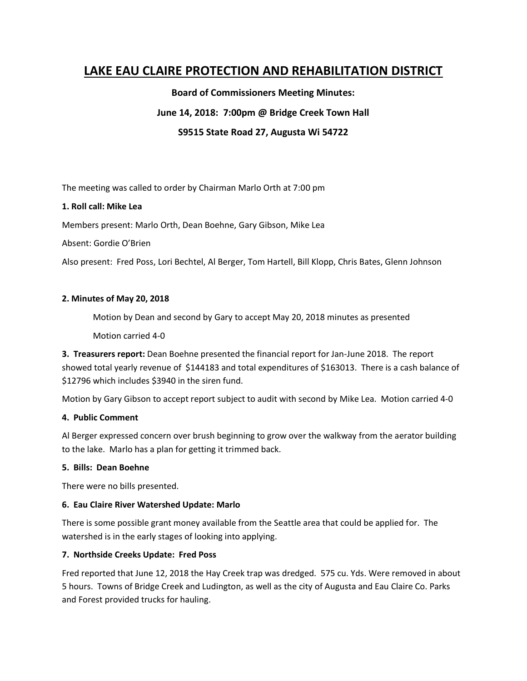# **LAKE EAU CLAIRE PROTECTION AND REHABILITATION DISTRICT**

**Board of Commissioners Meeting Minutes:**

# **June 14, 2018: 7:00pm @ Bridge Creek Town Hall**

**S9515 State Road 27, Augusta Wi 54722**

The meeting was called to order by Chairman Marlo Orth at 7:00 pm

## **1. Roll call: Mike Lea**

Members present: Marlo Orth, Dean Boehne, Gary Gibson, Mike Lea

Absent: Gordie O'Brien

Also present: Fred Poss, Lori Bechtel, Al Berger, Tom Hartell, Bill Klopp, Chris Bates, Glenn Johnson

## **2. Minutes of May 20, 2018**

Motion by Dean and second by Gary to accept May 20, 2018 minutes as presented

Motion carried 4-0

**3. Treasurers report:** Dean Boehne presented the financial report for Jan-June 2018. The report showed total yearly revenue of \$144183 and total expenditures of \$163013. There is a cash balance of \$12796 which includes \$3940 in the siren fund.

Motion by Gary Gibson to accept report subject to audit with second by Mike Lea. Motion carried 4-0

## **4. Public Comment**

Al Berger expressed concern over brush beginning to grow over the walkway from the aerator building to the lake. Marlo has a plan for getting it trimmed back.

## **5. Bills: Dean Boehne**

There were no bills presented.

## **6. Eau Claire River Watershed Update: Marlo**

There is some possible grant money available from the Seattle area that could be applied for. The watershed is in the early stages of looking into applying.

# **7. Northside Creeks Update: Fred Poss**

Fred reported that June 12, 2018 the Hay Creek trap was dredged. 575 cu. Yds. Were removed in about 5 hours. Towns of Bridge Creek and Ludington, as well as the city of Augusta and Eau Claire Co. Parks and Forest provided trucks for hauling.